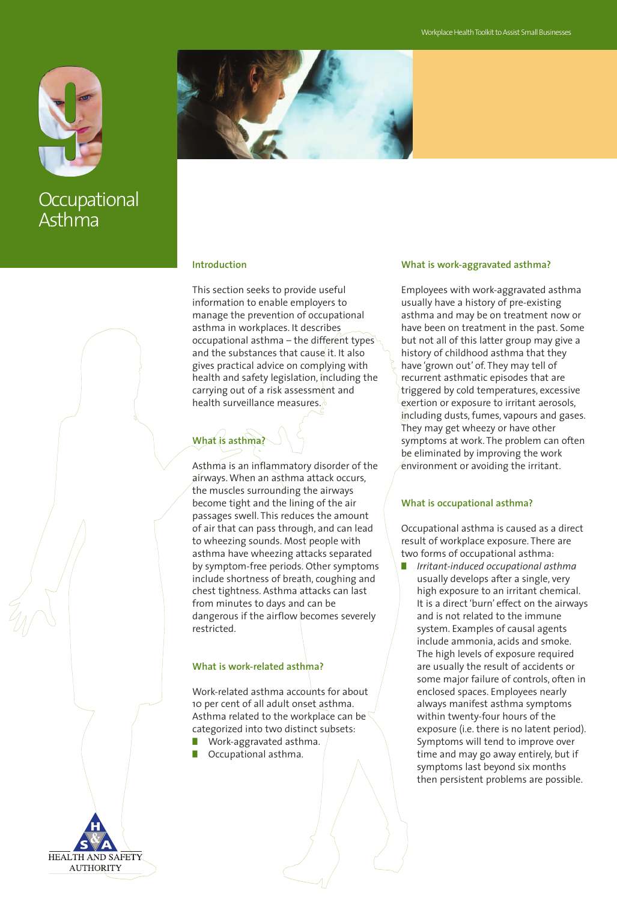

**Occupational** Asthma



### **Introduction**

This section seeks to provide useful information to enable employers to manage the prevention of occupational asthma in workplaces. It describes occupational asthma – the different types and the substances that cause it. It also gives practical advice on complying with health and safety legislation, including the carrying out of a risk assessment and health surveillance measures.

# **What is asthma?**

Asthma is an inflammatory disorder of the airways. When an asthma attack occurs, the muscles surrounding the airways become tight and the lining of the air passages swell. This reduces the amount of air that can pass through, and can lead to wheezing sounds. Most people with asthma have wheezing attacks separated by symptom-free periods. Other symptoms include shortness of breath, coughing and chest tightness. Asthma attacks can last from minutes to days and can be dangerous if the airflow becomes severely restricted.

#### **What is work-related asthma?**

Work-related asthma accounts for about 10 per cent of all adult onset asthma. Asthma related to the workplace can be categorized into two distinct subsets:

- **■** Work-aggravated asthma.
- **■** Occupational asthma.



#### **What is work-aggravated asthma?**

Employees with work-aggravated asthma usually have a history of pre-existing asthma and may be on treatment now or have been on treatment in the past. Some but not all of this latter group may give a history of childhood asthma that they have 'grown out' of. They may tell of recurrent asthmatic episodes that are triggered by cold temperatures, excessive exertion or exposure to irritant aerosols, including dusts, fumes, vapours and gases. They may get wheezy or have other symptoms at work. The problem can often be eliminated by improving the work environment or avoiding the irritant.

#### **What is occupational asthma?**

Occupational asthma is caused as a direct result of workplace exposure. There are two forms of occupational asthma:

**■** *Irritant-induced occupational asthma* usually develops after a single, very high exposure to an irritant chemical. It is a direct 'burn' effect on the airways and is not related to the immune system. Examples of causal agents include ammonia, acids and smoke. The high levels of exposure required are usually the result of accidents or some major failure of controls, often in enclosed spaces. Employees nearly always manifest asthma symptoms within twenty-four hours of the exposure (i.e. there is no latent period). Symptoms will tend to improve over time and may go away entirely, but if symptoms last beyond six months then persistent problems are possible.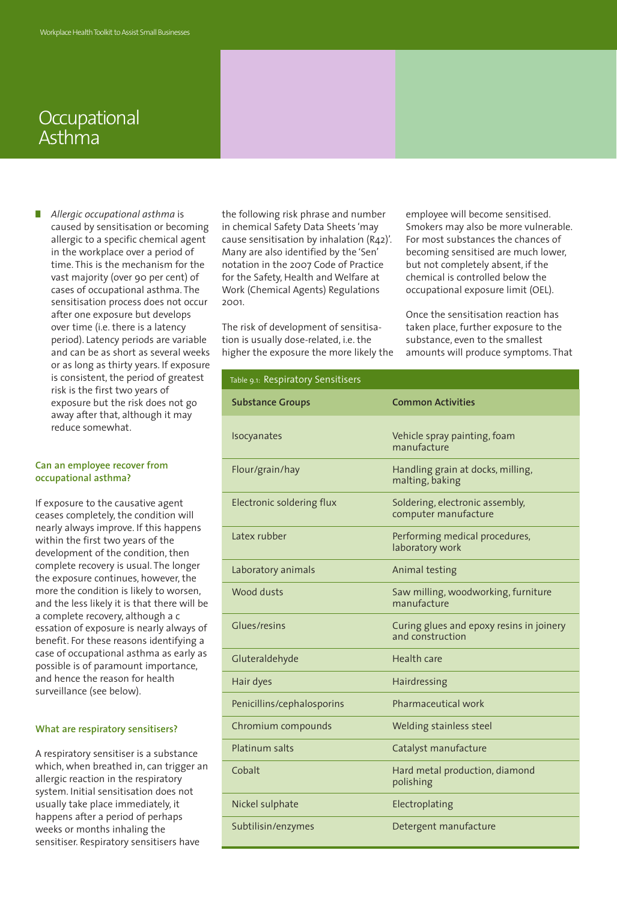## **Occupational** Asthma

**■** *Allergic occupational asthma* is caused by sensitisation or becoming allergic to a specific chemical agent in the workplace over a period of time. This is the mechanism for the vast majority (over 90 per cent) of cases of occupational asthma. The sensitisation process does not occur after one exposure but develops over time (i.e. there is a latency period). Latency periods are variable and can be as short as several weeks or as long as thirty years. If exposure is consistent, the period of greatest risk is the first two years of exposure but the risk does not go away after that, although it may reduce somewhat.

#### **Can an employee recover from occupational asthma?**

If exposure to the causative agent ceases completely, the condition will nearly always improve. If this happens within the first two years of the development of the condition, then complete recovery is usual. The longer the exposure continues, however, the more the condition is likely to worsen, and the less likely it is that there will be a complete recovery, although a c essation of exposure is nearly always of benefit. For these reasons identifying a case of occupational asthma as early as possible is of paramount importance, and hence the reason for health surveillance (see below).

#### **What are respiratory sensitisers?**

A respiratory sensitiser is a substance which, when breathed in, can trigger an allergic reaction in the respiratory system. Initial sensitisation does not usually take place immediately, it happens after a period of perhaps weeks or months inhaling the sensitiser. Respiratory sensitisers have

the following risk phrase and number in chemical Safety Data Sheets 'may cause sensitisation by inhalation (R42)'. Many are also identified by the 'Sen' notation in the 2007 Code of Practice for the Safety, Health and Welfare at Work (Chemical Agents) Regulations 2001.

The risk of development of sensitisation is usually dose-related, i.e. the higher the exposure the more likely the employee will become sensitised. Smokers may also be more vulnerable. For most substances the chances of becoming sensitised are much lower, but not completely absent, if the chemical is controlled below the occupational exposure limit (OEL).

Once the sensitisation reaction has taken place, further exposure to the substance, even to the smallest amounts will produce symptoms. That

| Table 9.1: Respiratory Sensitisers |                                                              |
|------------------------------------|--------------------------------------------------------------|
| <b>Substance Groups</b>            | <b>Common Activities</b>                                     |
| Isocyanates                        | Vehicle spray painting, foam<br>manufacture                  |
| Flour/grain/hay                    | Handling grain at docks, milling,<br>malting, baking         |
| Electronic soldering flux          | Soldering, electronic assembly,<br>computer manufacture      |
| Latex rubber                       | Performing medical procedures,<br>laboratory work            |
| Laboratory animals                 | Animal testing                                               |
| Wood dusts                         | Saw milling, woodworking, furniture<br>manufacture           |
| Glues/resins                       | Curing glues and epoxy resins in joinery<br>and construction |
| Gluteraldehyde                     | Health care                                                  |
| Hair dyes                          | Hairdressing                                                 |
| Penicillins/cephalosporins         | Pharmaceutical work                                          |
| Chromium compounds                 | Welding stainless steel                                      |
| Platinum salts                     | Catalyst manufacture                                         |
| Cobalt                             | Hard metal production, diamond<br>polishing                  |
| Nickel sulphate                    | Electroplating                                               |
| Subtilisin/enzymes                 | Detergent manufacture                                        |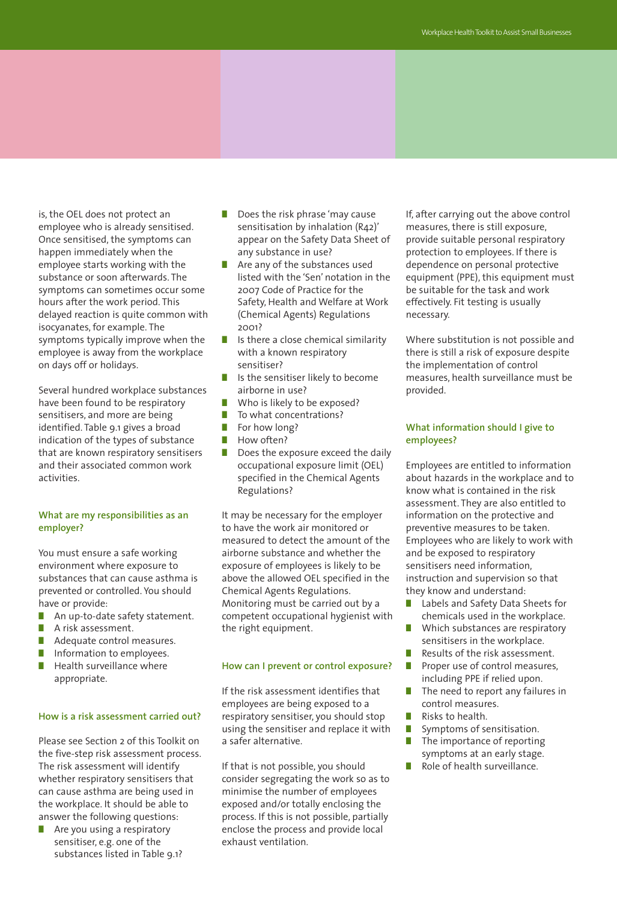is, the OEL does not protect an employee who is already sensitised. Once sensitised, the symptoms can happen immediately when the employee starts working with the substance or soon afterwards. The symptoms can sometimes occur some hours after the work period. This delayed reaction is quite common with isocyanates, for example. The symptoms typically improve when the employee is away from the workplace on days off or holidays.

Several hundred workplace substances have been found to be respiratory sensitisers, and more are being identified. Table 9.1 gives a broad indication of the types of substance that are known respiratory sensitisers and their associated common work activities.

#### **What are my responsibilities as an employer?**

You must ensure a safe working environment where exposure to substances that can cause asthma is prevented or controlled. You should have or provide:

- An up-to-date safety statement.
- **■** A risk assessment.
- Adequate control measures.
- Information to employees.
- Health surveillance where appropriate.

#### **How is a risk assessment carried out?**

Please see Section 2 of this Toolkit on the five-step risk assessment process. The risk assessment will identify whether respiratory sensitisers that can cause asthma are being used in the workplace. It should be able to answer the following questions:

**■** Are you using a respiratory sensitiser, e.g. one of the substances listed in Table 9.1?

- **■** Does the risk phrase 'may cause sensitisation by inhalation (R42)' appear on the Safety Data Sheet of any substance in use?
- Are any of the substances used listed with the 'Sen' notation in the 2007 Code of Practice for the Safety, Health and Welfare at Work (Chemical Agents) Regulations 2001?
- Is there a close chemical similarity with a known respiratory sensitiser?
- Is the sensitiser likely to become airborne in use?
- Who is likely to be exposed?
- To what concentrations?<br>■ For how long?
- For how long?<br>■ How often?
- **■** How often?
- Does the exposure exceed the daily occupational exposure limit (OEL) specified in the Chemical Agents Regulations?

It may be necessary for the employer to have the work air monitored or measured to detect the amount of the airborne substance and whether the exposure of employees is likely to be above the allowed OEL specified in the Chemical Agents Regulations. Monitoring must be carried out by a competent occupational hygienist with the right equipment.

#### **How can I prevent or control exposure?**

If the risk assessment identifies that employees are being exposed to a respiratory sensitiser, you should stop using the sensitiser and replace it with a safer alternative.

If that is not possible, you should consider segregating the work so as to minimise the number of employees exposed and/or totally enclosing the process. If this is not possible, partially enclose the process and provide local exhaust ventilation.

If, after carrying out the above control measures, there is still exposure, provide suitable personal respiratory protection to employees. If there is dependence on personal protective equipment (PPE), this equipment must be suitable for the task and work effectively. Fit testing is usually necessary.

Where substitution is not possible and there is still a risk of exposure despite the implementation of control measures, health surveillance must be provided.

#### **What information should I give to employees?**

Employees are entitled to information about hazards in the workplace and to know what is contained in the risk assessment. They are also entitled to information on the protective and preventive measures to be taken. Employees who are likely to work with and be exposed to respiratory sensitisers need information, instruction and supervision so that they know and understand:

- **■** Labels and Safety Data Sheets for chemicals used in the workplace.
- Which substances are respiratory sensitisers in the workplace.
- Results of the risk assessment. ■ Proper use of control measures,
- including PPE if relied upon.
- The need to report any failures in control measures.
- Risks to health.
- **■** Symptoms of sensitisation.
- The importance of reporting symptoms at an early stage.
- Role of health surveillance.